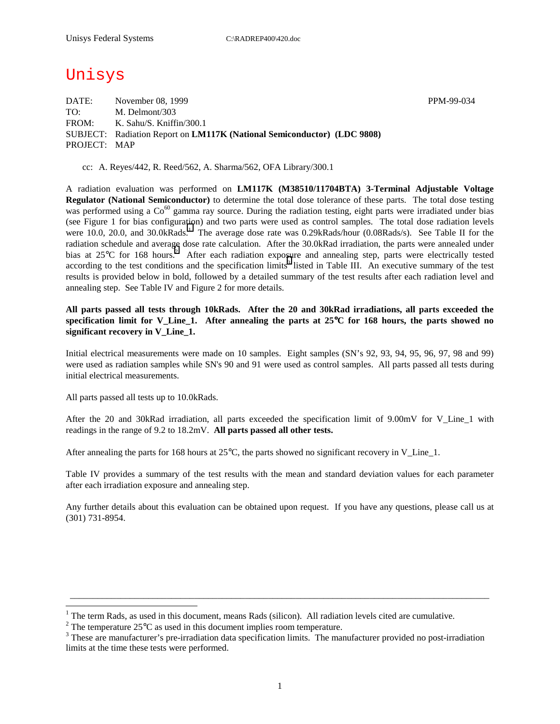# Unisys

DATE: November 08, 1999 November 08, 1999 TO: M. Delmont/303 FROM: K. Sahu/S. Kniffin/300.1 SUBJECT: Radiation Report on **LM117K (National Semiconductor) (LDC 9808)** PROJECT: MAP

cc: A. Reyes/442, R. Reed/562, A. Sharma/562, OFA Library/300.1

A radiation evaluation was performed on **LM117K (M38510/11704BTA) 3-Terminal Adjustable Voltage Regulator (National Semiconductor)** to determine the total dose tolerance of these parts. The total dose testing was performed using a  $Co^{60}$  gamma ray source. During the radiation testing, eight parts were irradiated under bias (see Figure 1 for bias configuration) and two parts were used as control samples. The total dose radiation levels were 10.0, 20.0, and 30.0kRads.<sup>1</sup> The average dose rate was 0.29kRads/hour (0.08Rads/s). See Table II for the radiation schedule and average dose rate calculation. After the 30.0kRad irradiation, the parts were annealed under bias at 25 $\degree$ C for 168 hours.<sup>2</sup> After each radiation exposure and annealing step, parts were electrically tested according to the test conditions and the specification limits<sup>3</sup> listed in Table III. An executive summary of the test results is provided below in bold, followed by a detailed summary of the test results after each radiation level and annealing step. See Table IV and Figure 2 for more details.

**All parts passed all tests through 10kRads. After the 20 and 30kRad irradiations, all parts exceeded the specification limit for V\_Line\_1. After annealing the parts at 25**°**C for 168 hours, the parts showed no significant recovery in V\_Line\_1.** 

Initial electrical measurements were made on 10 samples. Eight samples (SN's 92, 93, 94, 95, 96, 97, 98 and 99) were used as radiation samples while SN's 90 and 91 were used as control samples. All parts passed all tests during initial electrical measurements.

All parts passed all tests up to 10.0kRads.

 $\overline{a}$ 

After the 20 and 30kRad irradiation, all parts exceeded the specification limit of 9.00mV for V Line 1 with readings in the range of 9.2 to 18.2mV. **All parts passed all other tests.**

After annealing the parts for 168 hours at 25°C, the parts showed no significant recovery in V\_Line\_1.

Table IV provides a summary of the test results with the mean and standard deviation values for each parameter after each irradiation exposure and annealing step.

Any further details about this evaluation can be obtained upon request. If you have any questions, please call us at (301) 731-8954.

\_\_\_\_\_\_\_\_\_\_\_\_\_\_\_\_\_\_\_\_\_\_\_\_\_\_\_\_\_\_\_\_\_\_\_\_\_\_\_\_\_\_\_\_\_\_\_\_\_\_\_\_\_\_\_\_\_\_\_\_\_\_\_\_\_\_\_\_\_\_\_\_\_\_\_\_\_\_\_\_\_\_\_\_\_\_\_\_\_\_\_

<sup>&</sup>lt;sup>1</sup> The term Rads, as used in this document, means Rads (silicon). All radiation levels cited are cumulative.

<sup>&</sup>lt;sup>2</sup> The temperature 25 $^{\circ}$ C as used in this document implies room temperature.  $^3$  These are manufacturer's are irrediction date apositionism limits. The manufacturer's

<sup>&</sup>lt;sup>3</sup> These are manufacturer's pre-irradiation data specification limits. The manufacturer provided no post-irradiation limits at the time these tests were performed.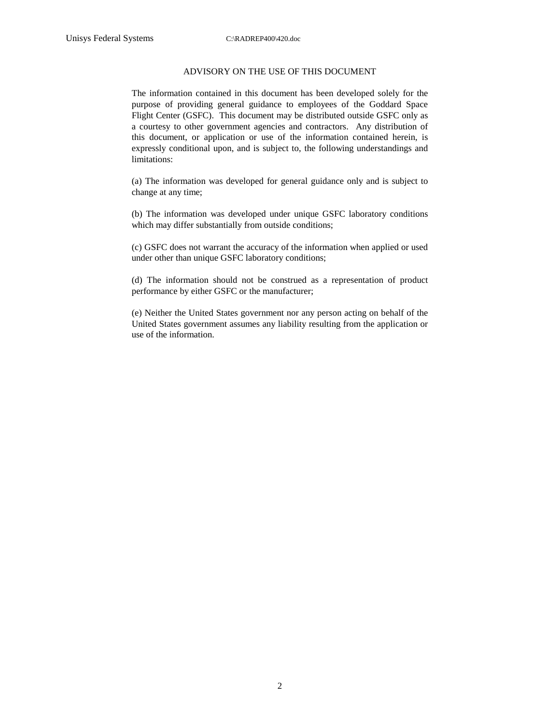#### ADVISORY ON THE USE OF THIS DOCUMENT

The information contained in this document has been developed solely for the purpose of providing general guidance to employees of the Goddard Space Flight Center (GSFC). This document may be distributed outside GSFC only as a courtesy to other government agencies and contractors. Any distribution of this document, or application or use of the information contained herein, is expressly conditional upon, and is subject to, the following understandings and limitations:

(a) The information was developed for general guidance only and is subject to change at any time;

(b) The information was developed under unique GSFC laboratory conditions which may differ substantially from outside conditions;

(c) GSFC does not warrant the accuracy of the information when applied or used under other than unique GSFC laboratory conditions;

(d) The information should not be construed as a representation of product performance by either GSFC or the manufacturer;

(e) Neither the United States government nor any person acting on behalf of the United States government assumes any liability resulting from the application or use of the information.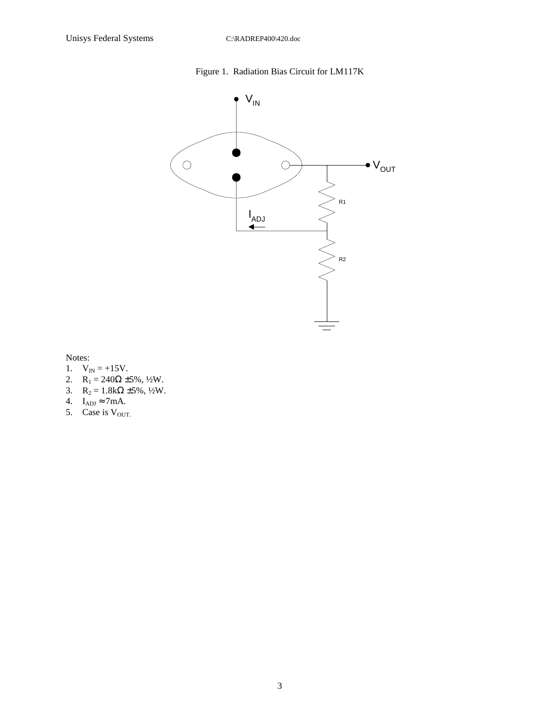## Figure 1. Radiation Bias Circuit for LM117K



Notes:

- 1.  $V_{IN} = +15V$ .
- 2.  $R_1 = 240\Omega \pm 5\%, \frac{1}{2}W$ .
- 3.  $R_2 = 1.8k\Omega \pm 5\%, \frac{1}{2}W$ .
- 4.  $I_{ADJ} \approx 7mA$ .
- 5. Case is  $V_{\text{OUT}}$ .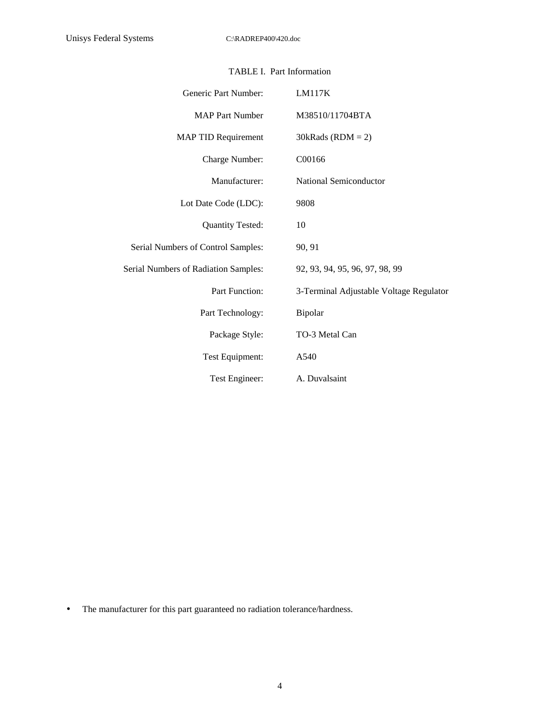| Generic Part Number:                 | LM117K                                  |
|--------------------------------------|-----------------------------------------|
| <b>MAP Part Number</b>               | M38510/11704BTA                         |
| <b>MAP TID Requirement</b>           | $30kRads (RDM = 2)$                     |
| Charge Number:                       | C00166                                  |
| Manufacturer:                        | National Semiconductor                  |
| Lot Date Code (LDC):                 | 9808                                    |
| <b>Quantity Tested:</b>              | 10                                      |
| Serial Numbers of Control Samples:   | 90, 91                                  |
| Serial Numbers of Radiation Samples: | 92, 93, 94, 95, 96, 97, 98, 99          |
| Part Function:                       | 3-Terminal Adjustable Voltage Regulator |
| Part Technology:                     | Bipolar                                 |
| Package Style:                       | TO-3 Metal Can                          |
| Test Equipment:                      | A540                                    |
| Test Engineer:                       | A. Duvalsaint                           |

### TABLE I. Part Information

• The manufacturer for this part guaranteed no radiation tolerance/hardness.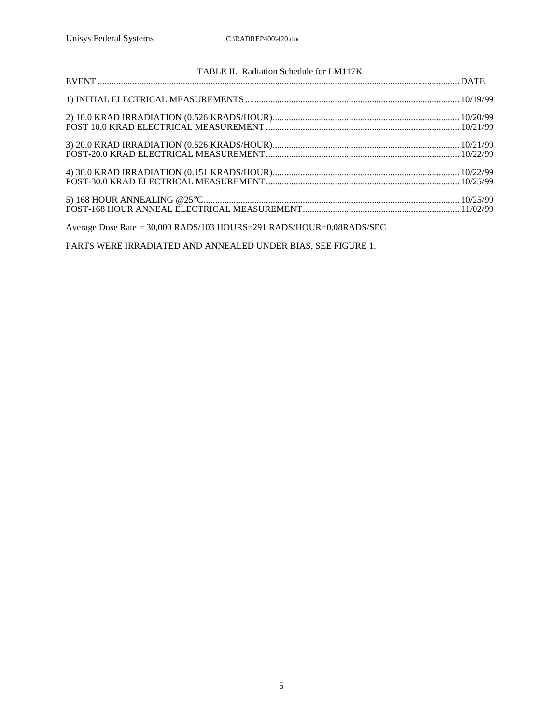| TABLE II. Radiation Schedule for LM117K                                    |  |  |  |  |  |  |  |  |
|----------------------------------------------------------------------------|--|--|--|--|--|--|--|--|
|                                                                            |  |  |  |  |  |  |  |  |
|                                                                            |  |  |  |  |  |  |  |  |
|                                                                            |  |  |  |  |  |  |  |  |
|                                                                            |  |  |  |  |  |  |  |  |
|                                                                            |  |  |  |  |  |  |  |  |
|                                                                            |  |  |  |  |  |  |  |  |
|                                                                            |  |  |  |  |  |  |  |  |
| Average Dose Rate = $30,000$ RADS/103 HOURS=291 RADS/HOUR= $0.08$ RADS/SEC |  |  |  |  |  |  |  |  |

PARTS WERE IRRADIATED AND ANNEALED UNDER BIAS, SEE FIGURE 1.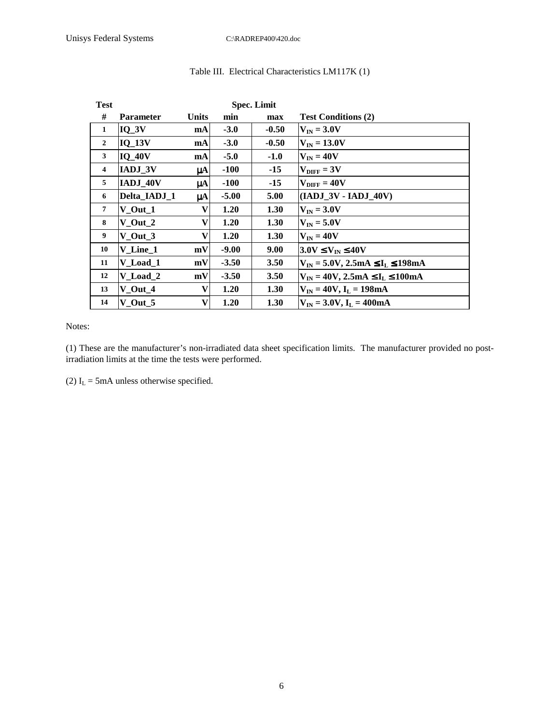| <b>Test</b>             |                  |              |         | <b>Spec. Limit</b> |                                               |
|-------------------------|------------------|--------------|---------|--------------------|-----------------------------------------------|
| #                       | <b>Parameter</b> | <b>Units</b> | min     | max                | <b>Test Conditions (2)</b>                    |
| 1                       | $IQ_3V$          | mA           | $-3.0$  | $-0.50$            | $V_{IN}$ = 3.0V                               |
| $\overline{2}$          | $IQ_13V$         | mA           | $-3.0$  | $-0.50$            | $V_{IN} = 13.0V$                              |
| $\mathbf{3}$            | <b>IQ_40V</b>    | mA           | $-5.0$  | $-1.0$             | $V_{IN} = 40V$                                |
| $\overline{\mathbf{4}}$ | IADJ_3V          | $\mu$ A      | $-100$  | $-15$              | $V_{\text{DIFF}} = 3V$                        |
| 5                       | IADJ_40V         | $\mu$ A      | $-100$  | -15                | $V_{\rm DIFF} = 40 V$                         |
| 6                       | Delta_IADJ_1     | $\mu$ A      | $-5.00$ | 5.00               | $(IADJ_3V-IADJ_40V)$                          |
| $\overline{7}$          | $V_$ Out $_1$    | V            | 1.20    | 1.30               | $V_{IN}$ = 3.0V                               |
| 8                       | $V_$ Out $_2$    | V            | 1.20    | 1.30               | $V_{IN}$ = 5.0V                               |
| 9                       | $V_$ Out_3       | V            | 1.20    | 1.30               | $V_{IN} = 40V$                                |
| 10                      | V Line 1         | mV           | $-9.00$ | 9.00               | $3.0V \le V_{IN} \le 40V$                     |
| 11                      | V_Load_1         | mV           | $-3.50$ | <b>3.50</b>        | $V_{IN} = 5.0 V, 2.5 mA \le I_L \le 198 mA$   |
| 12                      | V_Load_2         | mV           | $-3.50$ | 3.50               | $V_{IN} = 40V$ , 2.5mA $\leq I_L \leq 100$ mA |
| 13                      | V Out 4          | V            | 1.20    | 1.30               | $ V_{IN} = 40V, I_L = 198mA$                  |
| 14                      | $V_$ Out_5       | V            | 1.20    | 1.30               | $V_{IN} = 3.0 V, I_L = 400 mA$                |

### Table III. Electrical Characteristics LM117K (1)

Notes:

(1) These are the manufacturer's non-irradiated data sheet specification limits. The manufacturer provided no postirradiation limits at the time the tests were performed.

(2)  $I_L$  = 5mA unless otherwise specified.